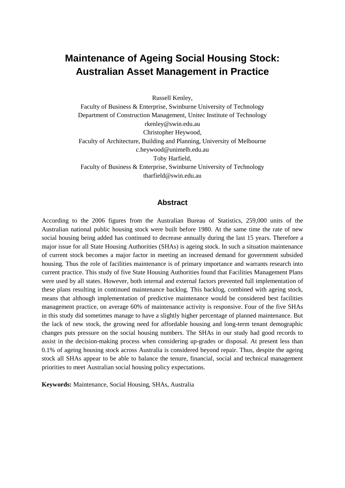# **Maintenance of Ageing Social Housing Stock: Australian Asset Management in Practice**

Russell Kenley,

Faculty of Business & Enterprise, Swinburne University of Technology Department of Construction Management, Unitec Institute of Technology rkenley@swin.edu.au Christopher Heywood, Faculty of Architecture, Building and Planning, University of Melbourne c.heywood@unimelb.edu.au Toby Harfield, Faculty of Business & Enterprise, Swinburne University of Technology tharfield@swin.edu.au

#### **Abstract**

According to the 2006 figures from the Australian Bureau of Statistics, 259,000 units of the Australian national public housing stock were built before 1980. At the same time the rate of new social housing being added has continued to decrease annually during the last 15 years. Therefore a major issue for all State Housing Authorities (SHAs) is ageing stock. In such a situation maintenance of current stock becomes a major factor in meeting an increased demand for government subsided housing. Thus the role of facilities maintenance is of primary importance and warrants research into current practice. This study of five State Housing Authorities found that Facilities Management Plans were used by all states. However, both internal and external factors prevented full implementation of these plans resulting in continued maintenance backlog. This backlog, combined with ageing stock, means that although implementation of predictive maintenance would be considered best facilities management practice, on average 60% of maintenance activity is responsive. Four of the five SHAs in this study did sometimes manage to have a slightly higher percentage of planned maintenance. But the lack of new stock, the growing need for affordable housing and long-term tenant demographic changes puts pressure on the social housing numbers. The SHAs in our study had good records to assist in the decision-making process when considering up-grades or disposal. At present less than 0.1% of ageing housing stock across Australia is considered beyond repair. Thus, despite the ageing stock all SHAs appear to be able to balance the tenure, financial, social and technical management priorities to meet Australian social housing policy expectations.

**Keywords:** Maintenance, Social Housing, SHAs, Australia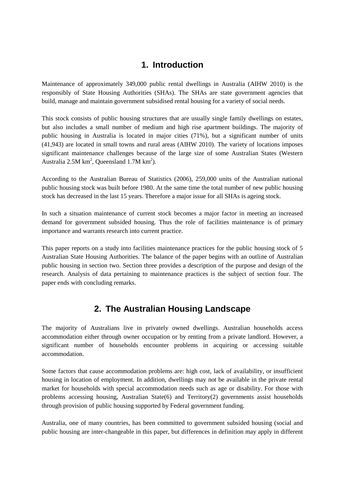## **1. Introduction**

Maintenance of approximately 349,000 public rental dwellings in Australia (AIHW 2010) is the responsibly of State Housing Authorities (SHAs). The SHAs are state government agencies that build, manage and maintain government subsidised rental housing for a variety of social needs.

This stock consists of public housing structures that are usually single family dwellings on estates, but also includes a small number of medium and high rise apartment buildings. The majority of public housing in Australia is located in major cities (71%), but a significant number of units (41,943) are located in small towns and rural areas (AIHW 2010). The variety of locations imposes significant maintenance challenges because of the large size of some Australian States (Western Australia 2.5M  $\text{km}^2$ , Queensland 1.7M  $\text{km}^2$ ).

According to the Australian Bureau of Statistics (2006), 259,000 units of the Australian national public housing stock was built before 1980. At the same time the total number of new public housing stock has decreased in the last 15 years. Therefore a major issue for all SHAs is ageing stock.

In such a situation maintenance of current stock becomes a major factor in meeting an increased demand for government subsided housing. Thus the role of facilities maintenance is of primary importance and warrants research into current practice.

This paper reports on a study into facilities maintenance practices for the public housing stock of 5 Australian State Housing Authorities. The balance of the paper begins with an outline of Australian public housing in section two. Section three provides a description of the purpose and design of the research. Analysis of data pertaining to maintenance practices is the subject of section four. The paper ends with concluding remarks.

# **2. The Australian Housing Landscape**

The majority of Australians live in privately owned dwellings. Australian households access accommodation either through owner occupation or by renting from a private landlord. However, a significant number of households encounter problems in acquiring or accessing suitable accommodation.

Some factors that cause accommodation problems are: high cost, lack of availability, or insufficient housing in location of employment. In addition, dwellings may not be available in the private rental market for households with special accommodation needs such as age or disability. For those with problems accessing housing, Australian State $(6)$  and Territory $(2)$  governments assist households through provision of public housing supported by Federal government funding.

Australia, one of many countries, has been committed to government subsided housing (social and public housing are inter-changeable in this paper, but differences in definition may apply in different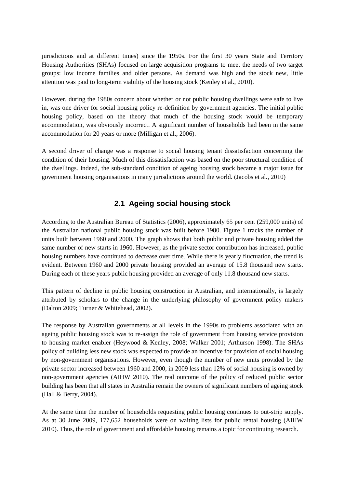jurisdictions and at different times) since the 1950s. For the first 30 years State and Territory Housing Authorities (SHAs) focused on large acquisition programs to meet the needs of two target groups: low income families and older persons. As demand was high and the stock new, little attention was paid to long-term viability of the housing stock (Kenley et al., 2010).

However, during the 1980s concern about whether or not public housing dwellings were safe to live in, was one driver for social housing policy re-definition by government agencies. The initial public housing policy, based on the theory that much of the housing stock would be temporary accommodation, was obviously incorrect. A significant number of households had been in the same accommodation for 20 years or more (Milligan et al., 2006).

A second driver of change was a response to social housing tenant dissatisfaction concerning the condition of their housing. Much of this dissatisfaction was based on the poor structural condition of the dwellings. Indeed, the sub-standard condition of ageing housing stock became a major issue for government housing organisations in many jurisdictions around the world. (Jacobs et al., 2010)

### **2.1 Ageing social housing stock**

According to the Australian Bureau of Statistics (2006), approximately 65 per cent (259,000 units) of the Australian national public housing stock was built before 1980. Figure 1 tracks the number of units built between 1960 and 2000. The graph shows that both public and private housing added the same number of new starts in 1960. However, as the private sector contribution has increased, public housing numbers have continued to decrease over time. While there is yearly fluctuation, the trend is evident. Between 1960 and 2000 private housing provided an average of 15.8 thousand new starts. During each of these years public housing provided an average of only 11.8 thousand new starts.

This pattern of decline in public housing construction in Australian, and internationally, is largely attributed by scholars to the change in the underlying philosophy of government policy makers (Dalton 2009; Turner & Whitehead, 2002).

The response by Australian governments at all levels in the 1990s to problems associated with an ageing public housing stock was to re-assign the role of government from housing service provision to housing market enabler (Heywood & Kenley, 2008; Walker 2001; Arthurson 1998). The SHAs policy of building less new stock was expected to provide an incentive for provision of social housing by non-government organisations. However, even though the number of new units provided by the private sector increased between 1960 and 2000, in 2009 less than 12% of social housing is owned by non-government agencies (AIHW 2010). The real outcome of the policy of reduced public sector building has been that all states in Australia remain the owners of significant numbers of ageing stock (Hall & Berry, 2004).

At the same time the number of households requesting public housing continues to out-strip supply. As at 30 June 2009, 177,652 households were on waiting lists for public rental housing (AIHW 2010). Thus, the role of government and affordable housing remains a topic for continuing research.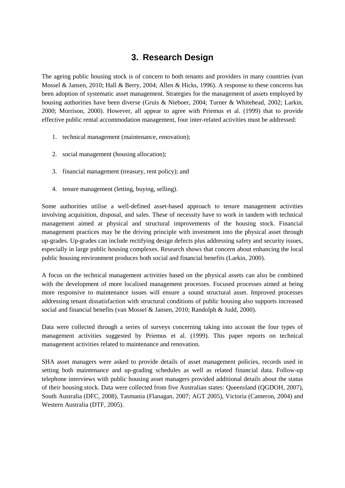# **3. Research Design**

The ageing public housing stock is of concern to both tenants and providers in many countries (van Mossel & Jansen, 2010; Hall & Berry, 2004; Allen & Hicks, 1996). A response to these concerns has been adoption of systematic asset management. Strategies for the management of assets employed by housing authorities have been diverse (Gruis & Nieboer, 2004; Turner & Whitehead, 2002; Larkin, 2000; Morrison, 2000). However, all appear to agree with Priemus et al. (1999) that to provide effective public rental accommodation management, four inter-related activities must be addressed:

- 1. technical management (maintenance, renovation);
- 2. social management (housing allocation);
- 3. financial management (treasury, rent policy); and
- 4. tenure management (letting, buying, selling).

Some authorities utilise a well-defined asset-based approach to tenure management activities involving acquisition, disposal, and sales. These of necessity have to work in tandem with technical management aimed at physical and structural improvements of the housing stock. Financial management practices may be the driving principle with investment into the physical asset through up-grades. Up-grades can include rectifying design defects plus addressing safety and security issues, especially in large public housing complexes. Research shows that concern about enhancing the local public housing environment produces both social and financial benefits (Larkin, 2000).

A focus on the technical management activities based on the physical assets can also be combined with the development of more localised management processes. Focused processes aimed at being more responsive to maintenance issues will ensure a sound structural asset. Improved processes addressing tenant dissatisfaction with structural conditions of public housing also supports increased social and financial benefits (van Mossel & Jansen, 2010; Randolph & Judd, 2000).

Data were collected through a series of surveys concerning taking into account the four types of management activities suggested by Priemus et al. (1999). This paper reports on technical management activities related to maintenance and renovation.

SHA asset managers were asked to provide details of asset management policies, records used in setting both maintenance and up-grading schedules as well as related financial data. Follow-up telephone interviews with public housing asset managers provided additional details about the status of their housing stock. Data were collected from five Australian states: Queensland (QGDOH, 2007), South Australia (DFC, 2008), Tasmania (Flanagan, 2007; AGT 2005), Victoria (Cameron, 2004) and Western Australia (DTF, 2005).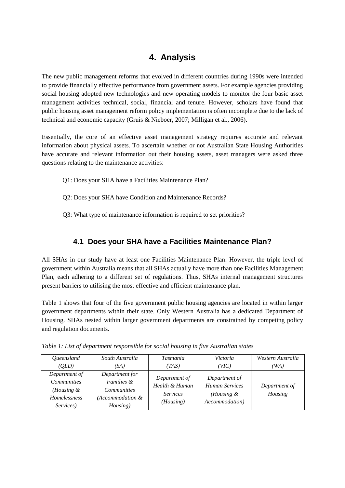# **4. Analysis**

The new public management reforms that evolved in different countries during 1990s were intended to provide financially effective performance from government assets. For example agencies providing social housing adopted new technologies and new operating models to monitor the four basic asset management activities technical, social, financial and tenure. However, scholars have found that public housing asset management reform policy implementation is often incomplete due to the lack of technical and economic capacity (Gruis & Nieboer, 2007; Milligan et al., 2006).

Essentially, the core of an effective asset management strategy requires accurate and relevant information about physical assets. To ascertain whether or not Australian State Housing Authorities have accurate and relevant information out their housing assets, asset managers were asked three questions relating to the maintenance activities:

- Q1: Does your SHA have a Facilities Maintenance Plan?
- Q2: Does your SHA have Condition and Maintenance Records?
- Q3: What type of maintenance information is required to set priorities?

## **4.1 Does your SHA have a Facilities Maintenance Plan?**

All SHAs in our study have at least one Facilities Maintenance Plan. However, the triple level of government within Australia means that all SHAs actually have more than one Facilities Management Plan, each adhering to a different set of regulations. Thus, SHAs internal management structures present barriers to utilising the most effective and efficient maintenance plan.

Table 1 shows that four of the five government public housing agencies are located in within larger government departments within their state. Only Western Australia has a dedicated Department of Housing. SHAs nested within larger government departments are constrained by competing policy and regulation documents.

| Queensland                                                                     | South Australia                                                                               | <b>Tasmania</b>                                                 | Victoria                                                                                         | Western Australia        |
|--------------------------------------------------------------------------------|-----------------------------------------------------------------------------------------------|-----------------------------------------------------------------|--------------------------------------------------------------------------------------------------|--------------------------|
| (OLD)                                                                          | (SA)                                                                                          | (TAS)                                                           | (VIC)                                                                                            | (WA)                     |
| Department of<br><b>Communities</b><br>(Housing &<br>Homelessness<br>Services) | Department for<br><i>Families &amp;</i><br><i>Communities</i><br>(Accommodation &<br>Housing) | Department of<br>Health & Human<br><i>Services</i><br>(Housing) | Department of<br><b>Human Services</b><br>( <i>Housing <math>\&amp;</math></i><br>Accommodation) | Department of<br>Housing |

*Table 1: List of department responsible for social housing in five Australian states*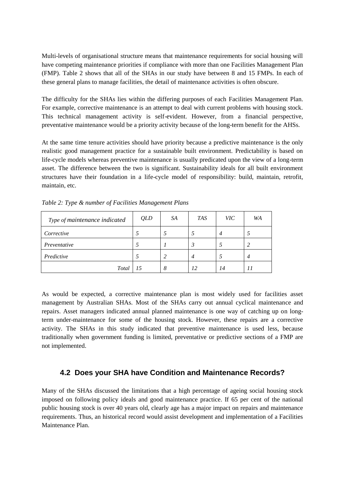Multi-levels of organisational structure means that maintenance requirements for social housing will have competing maintenance priorities if compliance with more than one Facilities Management Plan (FMP). Table 2 shows that all of the SHAs in our study have between 8 and 15 FMPs. In each of these general plans to manage facilities, the detail of maintenance activities is often obscure.

The difficulty for the SHAs lies within the differing purposes of each Facilities Management Plan. For example, corrective maintenance is an attempt to deal with current problems with housing stock. This technical management activity is self-evident. However, from a financial perspective, preventative maintenance would be a priority activity because of the long-term benefit for the AHSs.

At the same time tenure activities should have priority because a predictive maintenance is the only realistic good management practice for a sustainable built environment. Predictability is based on life-cycle models whereas preventive maintenance is usually predicated upon the view of a long-term asset. The difference between the two is significant. Sustainability ideals for all built environment structures have their foundation in a life-cycle model of responsibility: build, maintain, retrofit, maintain, etc.

| Type of maintenance indicated | QLD | SA | <b>TAS</b> | <b>VIC</b> | WA |
|-------------------------------|-----|----|------------|------------|----|
| Corrective                    |     |    |            |            |    |
| Preventative                  |     |    |            |            |    |
| Predictive                    |     |    |            |            |    |
| <b>Total</b>                  | 15  | 8  | 12         | 14         | 11 |

*Table 2: Type & number of Facilities Management Plans*

As would be expected, a corrective maintenance plan is most widely used for facilities asset management by Australian SHAs. Most of the SHAs carry out annual cyclical maintenance and repairs. Asset managers indicated annual planned maintenance is one way of catching up on longterm under-maintenance for some of the housing stock. However, these repairs are a corrective activity. The SHAs in this study indicated that preventive maintenance is used less, because traditionally when government funding is limited, preventative or predictive sections of a FMP are not implemented.

#### **4.2 Does your SHA have Condition and Maintenance Records?**

Many of the SHAs discussed the limitations that a high percentage of ageing social housing stock imposed on following policy ideals and good maintenance practice. If 65 per cent of the national public housing stock is over 40 years old, clearly age has a major impact on repairs and maintenance requirements. Thus, an historical record would assist development and implementation of a Facilities Maintenance Plan.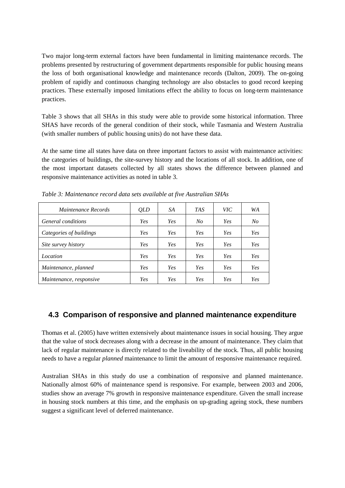Two major long-term external factors have been fundamental in limiting maintenance records. The problems presented by restructuring of government departments responsible for public housing means the loss of both organisational knowledge and maintenance records (Dalton, 2009). The on-going problem of rapidly and continuous changing technology are also obstacles to good record keeping practices. These externally imposed limitations effect the ability to focus on long-term maintenance practices.

Table 3 shows that all SHAs in this study were able to provide some historical information. Three SHAS have records of the general condition of their stock, while Tasmania and Western Australia (with smaller numbers of public housing units) do not have these data.

At the same time all states have data on three important factors to assist with maintenance activities: the categories of buildings, the site-survey history and the locations of all stock. In addition, one of the most important datasets collected by all states shows the difference between planned and responsive maintenance activities as noted in table 3.

| Maintenance Records            | QLD        | SA         | <b>TAS</b>     | <b>VIC</b> | WA             |
|--------------------------------|------------|------------|----------------|------------|----------------|
| General conditions             | Yes        | <b>Yes</b> | N <sub>O</sub> | Yes        | N <sub>O</sub> |
| Categories of buildings        | Yes        | <b>Yes</b> | Yes            | Yes        | Yes            |
| Site survey history            | Yes        | <b>Yes</b> | Yes            | Yes        | Yes            |
| Location                       | Yes        | <b>Yes</b> | Yes            | Yes        | Yes            |
| Maintenance, planned           | <b>Yes</b> | <b>Yes</b> | Yes            | Yes        | Yes            |
| <i>Maintenance, responsive</i> | Yes        | <b>Yes</b> | Yes            | Yes        | Yes            |

*Table 3: Maintenance record data sets available at five Australian SHAs*

### **4.3 Comparison of responsive and planned maintenance expenditure**

Thomas et al. (2005) have written extensively about maintenance issues in social housing. They argue that the value of stock decreases along with a decrease in the amount of maintenance. They claim that lack of regular maintenance is directly related to the liveability of the stock. Thus, all public housing needs to have a regular *planned* maintenance to limit the amount of responsive maintenance required.

Australian SHAs in this study do use a combination of responsive and planned maintenance. Nationally almost 60% of maintenance spend is responsive. For example, between 2003 and 2006, studies show an average 7% growth in responsive maintenance expenditure. Given the small increase in housing stock numbers at this time, and the emphasis on up-grading ageing stock, these numbers suggest a significant level of deferred maintenance.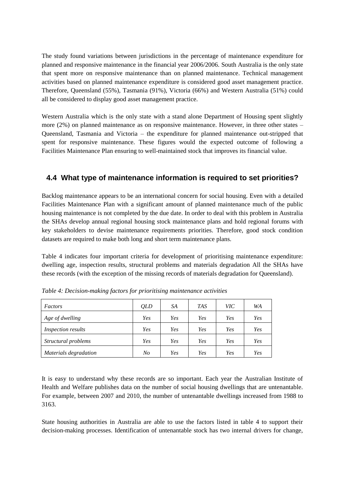The study found variations between jurisdictions in the percentage of maintenance expenditure for planned and responsive maintenance in the financial year 2006/2006. South Australia is the only state that spent more on responsive maintenance than on planned maintenance. Technical management activities based on planned maintenance expenditure is considered good asset management practice. Therefore, Queensland (55%), Tasmania (91%), Victoria (66%) and Western Australia (51%) could all be considered to display good asset management practice.

Western Australia which is the only state with a stand alone Department of Housing spent slightly more (2%) on planned maintenance as on responsive maintenance. However, in three other states – Queensland, Tasmania and Victoria – the expenditure for planned maintenance out-stripped that spent for responsive maintenance. These figures would the expected outcome of following a Facilities Maintenance Plan ensuring to well-maintained stock that improves its financial value.

### **4.4 What type of maintenance information is required to set priorities?**

Backlog maintenance appears to be an international concern for social housing. Even with a detailed Facilities Maintenance Plan with a significant amount of planned maintenance much of the public housing maintenance is not completed by the due date. In order to deal with this problem in Australia the SHAs develop annual regional housing stock maintenance plans and hold regional forums with key stakeholders to devise maintenance requirements priorities. Therefore, good stock condition datasets are required to make both long and short term maintenance plans.

Table 4 indicates four important criteria for development of prioritising maintenance expenditure: dwelling age, inspection results, structural problems and materials degradation All the SHAs have these records (with the exception of the missing records of materials degradation for Queensland).

| Factors                   | QLD | SA  | <b>TAS</b> | VIC- | WA  |
|---------------------------|-----|-----|------------|------|-----|
| Age of dwelling           | Yes | Yes | <b>Yes</b> | Yes  | Yes |
| <i>Inspection results</i> | Yes | Yes | <b>Yes</b> | Yes  | Yes |
| Structural problems       | Yes | Yes | Yes        | Yes  | Yes |
| Materials degradation     | No  | Yes | <b>Yes</b> | Yes  | Yes |

*Table 4: Decision-making factors for prioritising maintenance activities*

It is easy to understand why these records are so important. Each year the Australian Institute of Health and Welfare publishes data on the number of social housing dwellings that are untenantable. For example, between 2007 and 2010, the number of untenantable dwellings increased from 1988 to 3163.

State housing authorities in Australia are able to use the factors listed in table 4 to support their decision-making processes. Identification of untenantable stock has two internal drivers for change,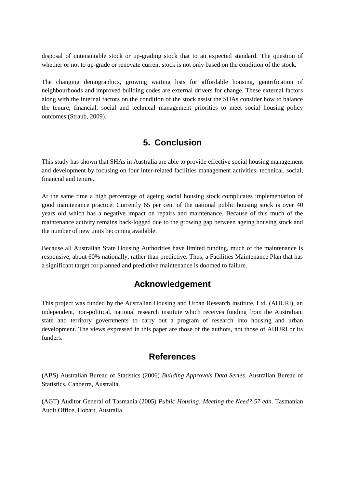disposal of untenantable stock or up-grading stock that to an expected standard. The question of whether or not to up-grade or renovate current stock is not only based on the condition of the stock.

The changing demographics, growing waiting lists for affordable housing, gentrification of neighbourhoods and improved building codes are external drivers for change. These external factors along with the internal factors on the condition of the stock assist the SHAs consider how to balance the tenure, financial, social and technical management priorities to meet social housing policy outcomes (Straub, 2009).

## **5. Conclusion**

This study has shown that SHAs in Australia are able to provide effective social housing management and development by focusing on four inter-related facilities management activities: technical, social, financial and tenure.

At the same time a high percentage of ageing social housing stock complicates implementation of good maintenance practice. Currently 65 per cent of the national public housing stock is over 40 years old which has a negative impact on repairs and maintenance. Because of this much of the maintenance activity remains back-logged due to the growing gap between ageing housing stock and the number of new units becoming available.

Because all Australian State Housing Authorities have limited funding, much of the maintenance is responsive, about 60% nationally, rather than predictive. Thus, a Facilities Maintenance Plan that has a significant target for planned and predictive maintenance is doomed to failure.

# **Acknowledgement**

This project was funded by the Australian Housing and Urban Research Institute, Ltd. (AHURI), an independent, non-political, national research institute which receives funding from the Australian, state and territory governments to carry out a program of research into housing and urban development. The views expressed in this paper are those of the authors, not those of AHURI or its funders.

## **References**

(ABS) Australian Bureau of Statistics (2006) *Building Approvals Data Series*. Australian Bureau of Statistics, Canberra, Australia.

(AGT) Auditor General of Tasmania (2005) *Public Housing: Meeting the Need? 57 edn*. Tasmanian Audit Office, Hobart, Australia.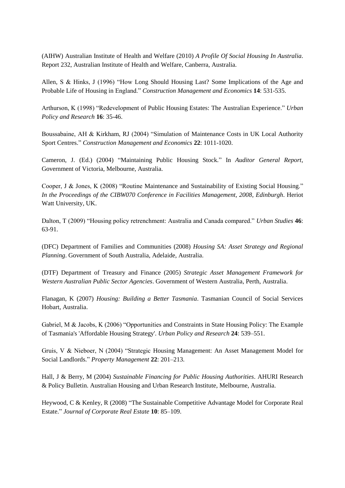(AIHW) Australian Institute of Health and Welfare (2010) *A Profile Of Social Housing In Australia*. Report 232, Australian Institute of Health and Welfare, Canberra, Australia.

Allen, S & Hinks, J (1996) "How Long Should Housing Last? Some Implications of the Age and Probable Life of Housing in England." *Construction Management and Economics* **14**: 531-535.

Arthurson, K (1998) "Redevelopment of Public Housing Estates: The Australian Experience." *Urban Policy and Research* **16**: 35-46.

Boussabaine, AH & Kirkham, RJ (2004) "Simulation of Maintenance Costs in UK Local Authority Sport Centres." *Construction Management and Economics* **22**: 1011-1020.

Cameron, J. (Ed.) (2004) "Maintaining Public Housing Stock." In *Auditor General Report*, Government of Victoria, Melbourne, Australia.

Cooper, J & Jones, K (2008) "Routine Maintenance and Sustainability of Existing Social Housing." *In the Proceedings of the CIBW070 Conference in Facilities Management, 2008*, *Edinburgh*. Heriot Watt University, UK.

Dalton, T (2009) "Housing policy retrenchment: Australia and Canada compared." *Urban Studies* **46**: 63-91.

(DFC) Department of Families and Communities (2008) *Housing SA: Asset Strategy and Regional Planning*. Government of South Australia, Adelaide, Australia.

(DTF) Department of Treasury and Finance (2005) *Strategic Asset Management Framework for Western Australian Public Sector Agencies*. Government of Western Australia, Perth, Australia.

Flanagan, K (2007) *Housing: Building a Better Tasmania*. Tasmanian Council of Social Services Hobart, Australia.

Gabriel, M & Jacobs, K (2006) "Opportunities and Constraints in State Housing Policy: The Example of Tasmania's 'Affordable Housing Strategy'. *Urban Policy and Research* **24**: 539–551.

Gruis, V & Nieboer, N (2004) "Strategic Housing Management: An Asset Management Model for Social Landlords." *Property Management* **22**: 201–213.

Hall, J & Berry, M (2004) *Sustainable Financing for Public Housing Authorities*. AHURI Research & Policy Bulletin. Australian Housing and Urban Research Institute, Melbourne, Australia.

Heywood, C & Kenley, R (2008) "The Sustainable Competitive Advantage Model for Corporate Real Estate." *Journal of Corporate Real Estate* **10**: 85–109.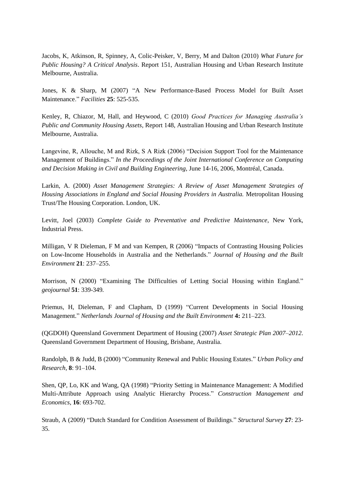Jacobs, K, Atkinson, R, Spinney, A, Colic-Peisker, V, Berry, M and Dalton (2010) *What Future for Public Housing? A Critical Analysis*. Report 151, Australian Housing and Urban Research Institute Melbourne, Australia.

Jones, K & Sharp, M (2007) "A New Performance-Based Process Model for Built Asset Maintenance." *Facilities* **25**: 525-535.

Kenley, R, Chiazor, M, Hall, and Heywood, C (2010) *Good Practices for Managing Australia's Public and Community Housing Assets*, Report 148, Australian Housing and Urban Research Institute Melbourne, Australia.

Langevine, R, Allouche, M and Rizk, S A Rizk (2006) "Decision Support Tool for the Maintenance Management of Buildings." *In the Proceedings of the Joint International Conference on Computing and Decision Making in Civil and Building Engineering*, June 14-16, 2006, Montréal, Canada.

Larkin, A. (2000) *Asset Management Strategies: A Review of Asset Management Strategies of Housing Associations in England and Social Housing Providers in Australia.* Metropolitan Housing Trust/The Housing Corporation. London, UK.

Levitt, Joel (2003) *Complete Guide to Preventative and Predictive Maintenance*, New York, Industrial Press.

Milligan, V R Dieleman, F M and van Kempen, R (2006) "Impacts of Contrasting Housing Policies on Low-Income Households in Australia and the Netherlands." *Journal of Housing and the Built Environment* **21**: 237–255.

Morrison, N (2000) "Examining The Difficulties of Letting Social Housing within England." *geojournal* **51**: 339-349*.*

Priemus, H, Dieleman, F and Clapham, D (1999) "Current Developments in Social Housing Management." *Netherlands Journal of Housing and the Built Environment* **4:** 211–223.

(QGDOH) Queensland Government Department of Housing (2007) *Asset Strategic Plan 2007–2012*. Queensland Government Department of Housing, Brisbane, Australia.

Randolph, B & Judd, B (2000) "Community Renewal and Public Housing Estates." *Urban Policy and Research,* **8**: 91–104.

Shen, QP, Lo, KK and Wang, QA (1998) "Priority Setting in Maintenance Management: A Modified Multi-Attribute Approach using Analytic Hierarchy Process." *Construction Management and Economics*, **16**: 693-702.

Straub, A (2009) "Dutch Standard for Condition Assessment of Buildings." *Structural Survey* **27**: 23- 35.